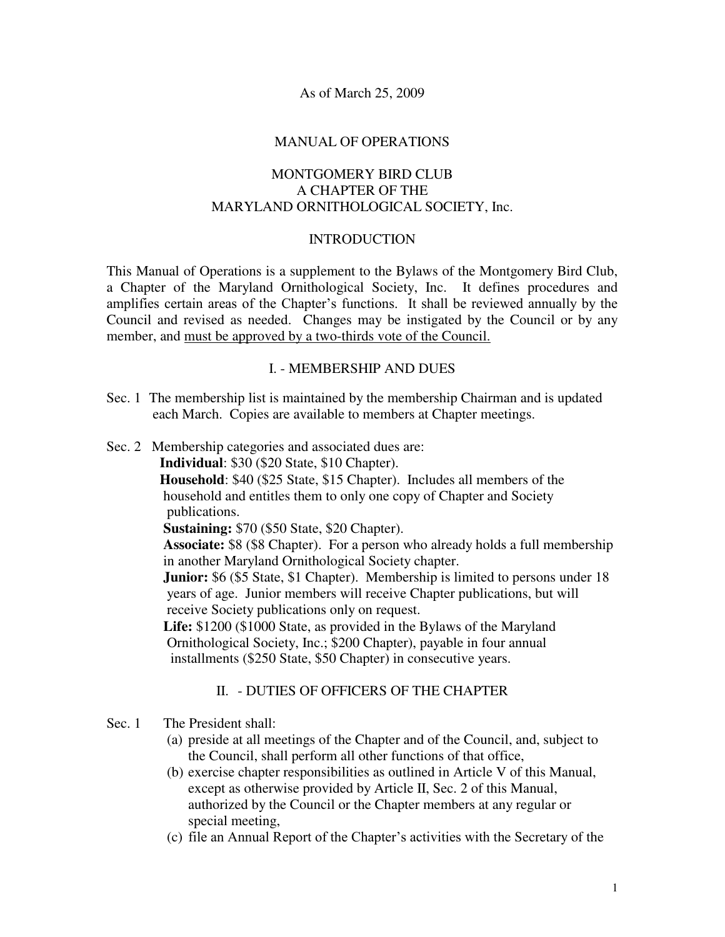As of March 25, 2009

#### MANUAL OF OPERATIONS

### MONTGOMERY BIRD CLUB A CHAPTER OF THE MARYLAND ORNITHOLOGICAL SOCIETY, Inc.

#### INTRODUCTION

This Manual of Operations is a supplement to the Bylaws of the Montgomery Bird Club, a Chapter of the Maryland Ornithological Society, Inc. It defines procedures and amplifies certain areas of the Chapter's functions. It shall be reviewed annually by the Council and revised as needed. Changes may be instigated by the Council or by any member, and must be approved by a two-thirds vote of the Council.

#### I. - MEMBERSHIP AND DUES

- Sec. 1 The membership list is maintained by the membership Chairman and is updated each March. Copies are available to members at Chapter meetings.
- Sec. 2 Membership categories and associated dues are:

**Individual**: \$30 (\$20 State, \$10 Chapter).

 **Household**: \$40 (\$25 State, \$15 Chapter). Includes all members of the household and entitles them to only one copy of Chapter and Society publications.

**Sustaining:** \$70 (\$50 State, \$20 Chapter).

 **Associate:** \$8 (\$8 Chapter). For a person who already holds a full membership in another Maryland Ornithological Society chapter.

**Junior:** \$6 (\$5 State, \$1 Chapter). Membership is limited to persons under 18 years of age. Junior members will receive Chapter publications, but will receive Society publications only on request.

 **Life:** \$1200 (\$1000 State, as provided in the Bylaws of the Maryland Ornithological Society, Inc.; \$200 Chapter), payable in four annual installments (\$250 State, \$50 Chapter) in consecutive years.

# II. - DUTIES OF OFFICERS OF THE CHAPTER

### Sec. 1 The President shall:

- (a) preside at all meetings of the Chapter and of the Council, and, subject to the Council, shall perform all other functions of that office,
- (b) exercise chapter responsibilities as outlined in Article V of this Manual, except as otherwise provided by Article II, Sec. 2 of this Manual, authorized by the Council or the Chapter members at any regular or special meeting,
- (c) file an Annual Report of the Chapter's activities with the Secretary of the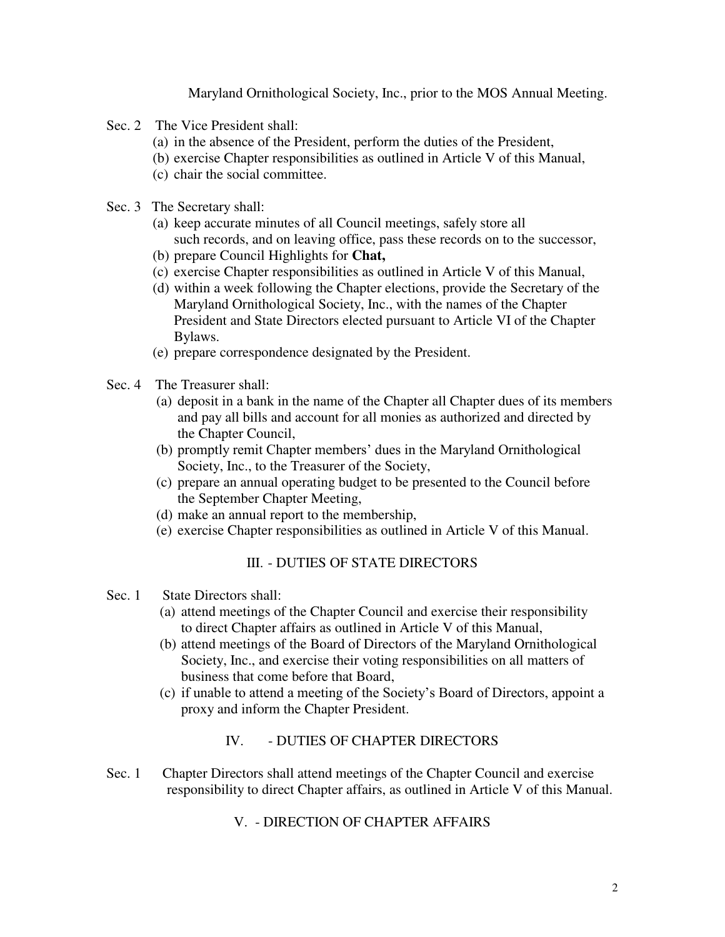Maryland Ornithological Society, Inc., prior to the MOS Annual Meeting.

- Sec. 2 The Vice President shall:
	- (a) in the absence of the President, perform the duties of the President,
	- (b) exercise Chapter responsibilities as outlined in Article V of this Manual,
	- (c) chair the social committee.
- Sec. 3 The Secretary shall:
	- (a) keep accurate minutes of all Council meetings, safely store all such records, and on leaving office, pass these records on to the successor,
	- (b) prepare Council Highlights for **Chat,**
	- (c) exercise Chapter responsibilities as outlined in Article V of this Manual,
	- (d) within a week following the Chapter elections, provide the Secretary of the Maryland Ornithological Society, Inc., with the names of the Chapter President and State Directors elected pursuant to Article VI of the Chapter Bylaws.
	- (e) prepare correspondence designated by the President.
- Sec. 4 The Treasurer shall:
	- (a) deposit in a bank in the name of the Chapter all Chapter dues of its members and pay all bills and account for all monies as authorized and directed by the Chapter Council,
	- (b) promptly remit Chapter members' dues in the Maryland Ornithological Society, Inc., to the Treasurer of the Society,
	- (c) prepare an annual operating budget to be presented to the Council before the September Chapter Meeting,
	- (d) make an annual report to the membership,
	- (e) exercise Chapter responsibilities as outlined in Article V of this Manual.

# III. - DUTIES OF STATE DIRECTORS

### Sec. 1 State Directors shall:

- (a) attend meetings of the Chapter Council and exercise their responsibility to direct Chapter affairs as outlined in Article V of this Manual,
- (b) attend meetings of the Board of Directors of the Maryland Ornithological Society, Inc., and exercise their voting responsibilities on all matters of business that come before that Board,
- (c) if unable to attend a meeting of the Society's Board of Directors, appoint a proxy and inform the Chapter President.

# IV. - DUTIES OF CHAPTER DIRECTORS

Sec. 1 Chapter Directors shall attend meetings of the Chapter Council and exercise responsibility to direct Chapter affairs, as outlined in Article V of this Manual.

# V. - DIRECTION OF CHAPTER AFFAIRS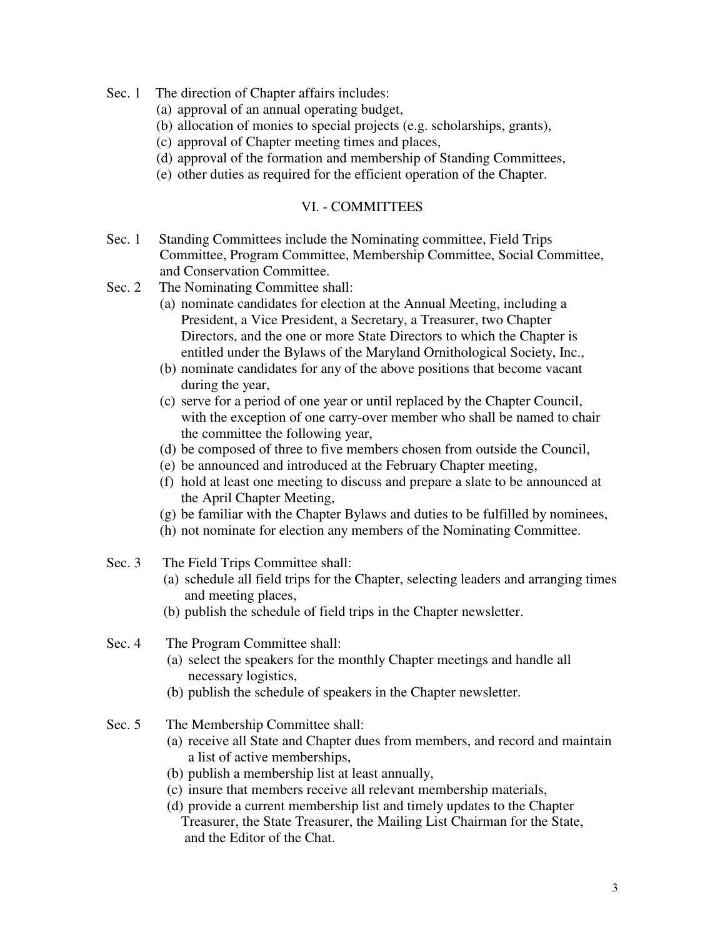- Sec. 1 The direction of Chapter affairs includes:
	- (a) approval of an annual operating budget,
	- (b) allocation of monies to special projects (e.g. scholarships, grants),
	- (c) approval of Chapter meeting times and places,
	- (d) approval of the formation and membership of Standing Committees,
	- (e) other duties as required for the efficient operation of the Chapter.

#### VI. - COMMITTEES

- Sec. 1 Standing Committees include the Nominating committee, Field Trips Committee, Program Committee, Membership Committee, Social Committee, and Conservation Committee.
- Sec. 2 The Nominating Committee shall:
	- (a) nominate candidates for election at the Annual Meeting, including a President, a Vice President, a Secretary, a Treasurer, two Chapter Directors, and the one or more State Directors to which the Chapter is entitled under the Bylaws of the Maryland Ornithological Society, Inc.,
	- (b) nominate candidates for any of the above positions that become vacant during the year,
	- (c) serve for a period of one year or until replaced by the Chapter Council, with the exception of one carry-over member who shall be named to chair the committee the following year,
	- (d) be composed of three to five members chosen from outside the Council,
	- (e) be announced and introduced at the February Chapter meeting,
	- (f) hold at least one meeting to discuss and prepare a slate to be announced at the April Chapter Meeting,
	- (g) be familiar with the Chapter Bylaws and duties to be fulfilled by nominees,
	- (h) not nominate for election any members of the Nominating Committee.
- Sec. 3 The Field Trips Committee shall:
	- (a) schedule all field trips for the Chapter, selecting leaders and arranging times and meeting places,
	- (b) publish the schedule of field trips in the Chapter newsletter.
- Sec. 4 The Program Committee shall:
	- (a) select the speakers for the monthly Chapter meetings and handle all necessary logistics,
	- (b) publish the schedule of speakers in the Chapter newsletter.
- Sec. 5 The Membership Committee shall:
	- (a) receive all State and Chapter dues from members, and record and maintain a list of active memberships,
	- (b) publish a membership list at least annually,
	- (c) insure that members receive all relevant membership materials,
	- (d) provide a current membership list and timely updates to the Chapter Treasurer, the State Treasurer, the Mailing List Chairman for the State, and the Editor of the Chat.